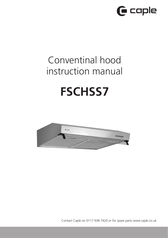

# Conventinal hood instruction manual

# **FSCHSS7**



Contact Caple on 0117 938 7420 or for spare parts www.caple.co.uk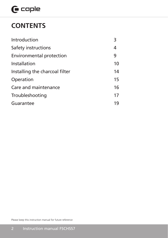# $\mathbf \Theta$  caple

## **CONTENTS**

| Introduction                    | 3  |
|---------------------------------|----|
| Safety instructions             | 4  |
| <b>Environmental protection</b> | 9  |
| Installation                    | 10 |
| Installing the charcoal filter  | 14 |
| Operation                       | 15 |
| Care and maintenance            | 16 |
| Troubleshooting                 | 17 |
| Guarantee                       | 19 |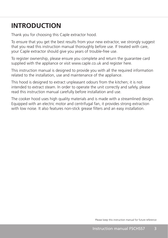# **INTRODUCTION**

Thank you for choosing this Caple extractor hood.

To ensure that you get the best results from your new extractor, we strongly suggest that you read this instruction manual thoroughly before use. If treated with care, your Caple extractor should give you years of trouble-free use.

To register ownership, please ensure you complete and return the guarantee card supplied with the appliance or visit www.caple.co.uk and register here.

This instruction manual is designed to provide you with all the required information related to the installation, use and maintenance of the appliance.

This hood is designed to extract unpleasant odours from the kitchen; it is not intended to extract steam. In order to operate the unit correctly and safely, please read this instruction manual carefully before installation and use.

The cooker hood uses high quality materials and is made with a streamlined design. Equipped with an electric motor and centrifugal fan, it provides strong extraction with low noise. It also features non-stick grease filters and an easy installation.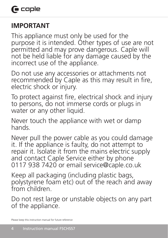## **IMPORTANT**

This appliance must only be used for the purpose it is intended. Other types of use are not permitted and may prove dangerous. Caple will not be held liable for any damage caused by the incorrect use of the appliance.

Do not use any accessories or attachments not recommended by Caple as this may result in fire, electric shock or injury.

To protect against fire, electrical shock and injury to persons, do not immerse cords or plugs in water or any other liquid.

Never touch the appliance with wet or damp hands.

Never pull the power cable as you could damage it. If the appliance is faulty, do not attempt to repair it. Isolate it from the mains electric supply and contact Caple Service either by phone 0117 938 7420 or email service@caple.co.uk

Keep all packaging (including plastic bags, polystyrene foam etc) out of the reach and away from children.

Do not rest large or unstable objects on any part of the appliance.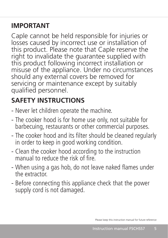## **IMPORTANT**

Caple cannot be held responsible for injuries or losses caused by incorrect use or installation of this product. Please note that Caple reserve the right to invalidate the guarantee supplied with this product following incorrect installation or misuse of the appliance. Under no circumstances should any external covers be removed for servicing or maintenance except by suitably qualified personnel.

# **SAFETY INSTRUCTIONS**

- Never let children operate the machine.
- The cooker hood is for home use only, not suitable for barbecuing, restaurants or other commercial purposes.
- The cooker hood and its filter should be cleaned regularly in order to keep in good working condition.
- Clean the cooker hood according to the instruction manual to reduce the risk of fire.
- When using a gas hob, do not leave naked flames under the extractor.
- Before connecting this appliance check that the power supply cord is not damaged.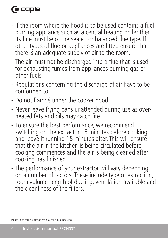# **G** caple

- If the room where the hood is to be used contains a fuel burning appliance such as a central heating boiler then its flue must be of the sealed or balanced flue type. If other types of flue or appliances are fitted ensure that there is an adequate supply of air to the room.
- The air must not be discharged into a flue that is used for exhausting fumes from appliances burning gas or other fuels.
- Regulations concerning the discharge of air have to be conformed to.
- Do not flambé under the cooker hood.
- Never leave frying pans unattended during use as overheated fats and oils may catch fire.
- To ensure the best performance, we recommend switching on the extractor 15 minutes before cooking and leave it running 15 minutes after. This will ensure that the air in the kitchen is being circulated before cooking commences and the air is being cleaned after cooking has finished.
- The performance of your extractor will vary depending on a number of factors. These include type of extraction, room volume, length of ducting, ventilation available and the cleanliness of the filters.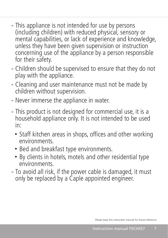- This appliance is not intended for use by persons (including children) with reduced physical, sensory or mental capabilities, or lack of experience and knowledge, unless they have been given supervision or instruction concerning use of the appliance by a person responsible for their safety.
- Children should be supervised to ensure that they do not play with the appliance.
- Cleaning and user maintenance must not be made by children without supervision.
- Never immerse the appliance in water.
- This product is not designed for commercial use, it is a household appliance only. It is not intended to be used in:
	- Staff kitchen areas in shops, offices and other working environments.
	- Bed and breakfast type environments.
	- By clients in hotels, motels and other residential type environments.
- To avoid all risk, if the power cable is damaged, it must only be replaced by a Caple appointed engineer.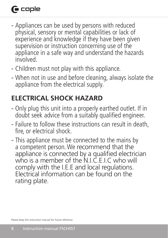# **G** caple

- Appliances can be used by persons with reduced physical, sensory or mental capabilities or lack of experience and knowledge if they have been given supervision or instruction concerning use of the appliance in a safe way and understand the hazards involved.
- Children must not play with this appliance.
- When not in use and before cleaning, always isolate the appliance from the electrical supply.

# **ELECTRICAL SHOCK HAZARD**

- Only plug this unit into a properly earthed outlet. If in doubt seek advice from a suitably qualified engineer.
- Failure to follow these instructions can result in death, fire, or electrical shock.
- This appliance must be connected to the mains by a competent person. We recommend that the appliance is connected by a qualified electrician who is a member of the N.I.C.E.I.C who will comply with the I.E.E and local regulations. Electrical information can be found on the rating plate.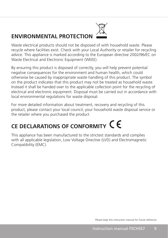## **ENVIRONMENTAL PROTECTION**



By ensuring this product is disposed of correctly, you will help prevent potential negative consequences for the environment and human health, which could otherwise be caused by inappropriate waste handling of this product. The symbol on the product indicates that this product may not be treated as household waste. Instead it shall be handed over to the applicable collection point for the recycling of electrical and electronic equipment. Disposal must be carried out in accordance with local environmental regulations for waste disposal.

For more detailed information about treatment, recovery and recycling of this product, please contact your local council, your household waste disposal service or the retailer where you purchased the product

# **CE DECLARATIONS OF CONFORMITY**

This appliance has been manufactured to the strictest standards and complies with all applicable legislation, Low Voltage Directive (LVD) and Electromagnetic Compatibility (EMC).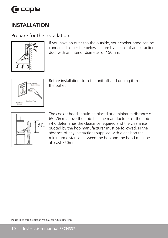#### **INSTALLATION**  $\overline{1}$  $\frac{1}{2}$  $\sim$   $\sim$   $\sim$   $\sim$

### Prepare for the installation:



If you have an outlet to the outside, your cooker hood can be connected as per the below picture by means of an extraction duct with an interior diameter of 150mm.



Before installation, turn the unit off and unplug it from the outlet.



 $\Box$  The cooker hood should be placed at a minimum distance of 65~76cm above the hob. It is the manufacturer of the hob  $\Box$   $\Box$   $\Box$   $\Box$   $\Box$   $\Box$  who determines the clearance required and the clearance  $\left| \bigcup_{n \in \mathbb{Z}} \right|$  and  $\left| \bigcup_{n \in \mathbb{Z}} \right|$  and  $\left| \bigcup_{n \in \mathbb{Z}} \left| \bigcap_{n \in \mathbb{Z}} \left| \bigcap_{n \in \mathbb{Z}} \left| \bigcap_{n \in \mathbb{Z}} \left| \bigcap_{n \in \mathbb{Z}} \left| \bigcap_{n \in \mathbb{Z}} \left| \bigcap_{n \in \mathbb{Z}} \left| \bigcap_{n \in \mathbb{Z}} \left| \bigcap_{n \in \mathbb{Z}} \left| \bigcap_{n \in \mathbb{Z}} \left| \bigcap_{n$ absence of any instructions supplied with a gas hob the minimum distance between the hob and the hood must be at least 760mm.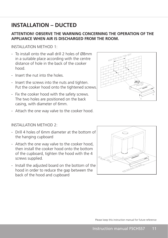### **INSTALLATION – DUCTED**

#### **ATTENTION! OBSERVE THE WARNING CONCERNING THE OPERATION OF THE APPLIANCE WHEN AIR IS DISCHARGED FROM THE ROOM.**

INSTALLATION METHOD 1:

- To install onto the wall drill 2 holes of Ø8mm in a suitable place according with the centre distance of hole in the back of the cooker hood.
- Insert the nut into the holes
- Insert the screws into the nuts and tighten. Put the cooker hood onto the tightened screws.
- Fix the cooker hood with the safety screws. The two holes are positioned on the back casing, with diameter of 6mm.
- Attach the one way valve to the cooker hood.

INSTALLATION METHOD 2:

- Drill 4 holes of 6mm diameter at the bottom of the hanging cupboard
- Attach the one way valve to the cooker hood, then install the cooker hood onto the bottom of the cupboard, tighten the hood with the 4 screws supplied.
- Install the adjusted board on the bottom of the hood in order to reduce the gap between the back of the hood and cupboard



 $410\sqrt{510/610/710/810}$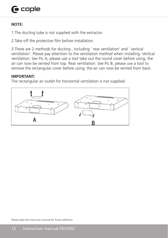# $\bigcap$  caple

#### **NOTE:**

1.The ducting tube is not supplied with the extractor.

2.Take off the protective film before installation. 

3.There are 2 methods for ducting , including ' rear ventilation' and ' vertical ventilation'. Please pay attention to the ventilation method when installing. Vertical ventilation: See Pic A, please use a tool take out the round cover before using, the air can now be vented from top. Rear ventilation: See Pic B, please use a tool to remove the rectangular cover before using, the air can now be vented from back.

#### **IMPORTANT:**  $\begin{array}{c}\n \text{IIAPORTA IIT}\n \end{array}$

**THE ONTANT.**<br>The rectangular air outlet for horizontal ventilation is not supplied. life rectarigular all outlet for honzontal ventilation is not supplie

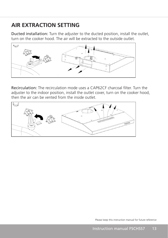### **AIR EXTRACTION SETTING**

Ducted installation: Turn the adjuster to the ducted position, install the outlet, turn on the cooker hood. The air will be extracted to the outside outlet. **Ducted installation:** Turn the adjuster to the ducted position, install th and a model of the staff of the staff of the staff of the staff of the staff of the staff of the staff of the staff of the staff of the staff of the staff of the staff of the staff of the staff of the staff of the staff of **Ducted instantiation.** That the adjusted to the ducted position, install the



Recirculation: The recirculation mode uses a CAP62CF charcoal filter. Turn the adjuster to the indoor position, install the outlet cover, turn on the cooker hood, then the air can be vented from the inside outlet.

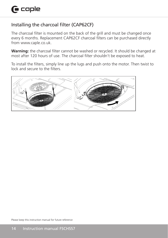#### Installing the charcoal filter (CAP62CF)

The charcoal filter is mounted on the back of the grill and must be changed once every 6 months. Replacement CAP62CF charcoal filters can be purchased directly from www.caple.co.uk.

**Warning:** the charcoal filter cannot be washed or recycled. It should be changed at most after 120 hours of use. The charcoal filter shouldn't be exposed to heat. **Warning:** the charcoal filter cannot be washed or recycled. It should b

To install the filters, simply line up the lugs and push onto the motor. Then twist to lock and secure to the filters. To instant the filters, simply line up the lugs and push onto the m

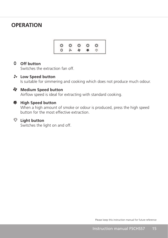#### **OPERATION**



### **O** Off button

Switches the extraction fan off. **OTT button**<br>Switches the extract SWILCHES THE EXTRACTION Ran Off.

#### **Low Speed button** and the state of the state of the state of the Low speed button Low Speed button **Example 20** Low Sp

Is suitable for simmering and cooking which does not produce much odour. Is suitable for simmering and cooking which does not produce much odour 

### **Medium Speed button**

Airflow speed is ideal for extracting with standard cooking.

#### **High Speed button** High Speed button High Speed button and the contract of the contract of the contract of the contract of the contract of the contract of the contract of the contract of the contract of the contract of the contract of the contract of the cont

When a high amount of smoke or odour is produced, press the high speed button for the most effective extraction. When a high amount of smoke or odour is produced, press the high speed<br>butter factle meet offertive suturation button for the most effective extraction.

# **Light button**

í

Switches the light on and off. bondings the light on and one Switches the light on and off. Switches the light on and off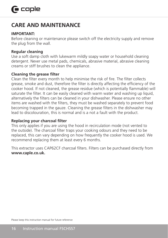### **CARE AND MAINTENANCE**

#### **IMPORTANT:**

Before cleaning or maintenance please switch off the electricity supply and remove the plug from the wall.

#### **Regular cleaning**

Use a soft damp cloth with lukewarm mildly soapy water or household cleaning detergent. Never use metal pads, chemicals, abrasive material, abrasive cleaning creams or stiff brushes to clean the appliance.

#### **Cleaning the grease filter**

Clean the filter every month to help minimise the risk of fire. The filter collects grease, smoke and dust, therefore the filter is directly affecting the efficiency of the cooker hood. If not cleaned, the grease residue (which is potentially flammable) will saturate the filter. It can be easily cleaned with warm water and washing up liquid, alternatively the filters can be cleaned in your dishwasher. Please ensure no other items are washed with the filters, they must be washed separately to prevent food becoming trapped in the gauze. Cleaning the grease filters in the dishwasher may lead to discolouration, this is normal and is a not a fault with the product.

#### **Replacing your charcoal filter**

This only applies if you are using the hood in recirculation mode (not vented to the outside). The charcoal filter traps your cooking odours and they need to be replaced, this can vary depending on how frequently the cooker hood is used. We recommend replacing them at least every 6 months.

This extractor uses CAP62CF charcoal filters. Filters can be purchased directly from **www.caple.co.uk.**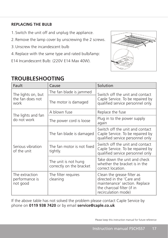#### **REPLACING THE BULB**

- 1. Switch the unit off and unplug the appliance.
- 2. Remove the lamp cover by unscrewing the 2 screws.
- 3.Unscrew the incandescent bulb
- 4. Replace with the same type and rated bulb/lamp:
- E14 Incandescent Bulb: (220V E14 Max 40W).



### **TROUBLESHOOTING**

| Fault                                          | Cause                                            | Solution                                                                                                                                      |  |
|------------------------------------------------|--------------------------------------------------|-----------------------------------------------------------------------------------------------------------------------------------------------|--|
| The lights on, but<br>the fan does not<br>work | The fan blade is jammed                          | Switch off the unit and contact<br>Caple Service. To be repaired by<br>qualified service personnel only.                                      |  |
|                                                | The motor is damaged                             |                                                                                                                                               |  |
| The lights and fan<br>do not work              | A blown fuse                                     | Replace the fuse                                                                                                                              |  |
|                                                | The power cord is loose                          | Plug in to the power supply<br>again                                                                                                          |  |
| Serious vibration<br>of the unit               | The fan blade is damaged                         | Switch off the unit and contact<br>Caple Service. To be repaired by<br>qualified service personnel only                                       |  |
|                                                | The fan motor is not fixed<br>tightly.           | Switch off the unit and contact<br>Caple Service. To be repaired by<br>qualified service personnel only                                       |  |
|                                                | The unit is not hung<br>correctly on the bracket | Take down the unit and check<br>whether the bracket is in the<br>correct location.                                                            |  |
| The extraction<br>performance is<br>not good   | The filter requires<br>cleaning                  | Clean the grease filter as<br>directed in the 'Care and<br>maintenance' section. Replace<br>the charcoal filter (if in<br>recirculation mode) |  |

If the above table has not solved the problem please contact Caple Service by phone on **0119 938 7420** or by email **service@caple.co.uk**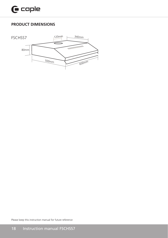#### **PRODUCT DIMENSIONS**

<u>PRODUCT DIMENSIONS OF THE STATE OF THE STATE OF THE STATE OF THE STATE OF THE STATE OF THE STATE OF THE STATE OF THE STATE OF THE STATE OF THE STATE OF THE STATE OF THE STATE OF THE STATE OF THE STATE OF THE STATE OF THE </u>

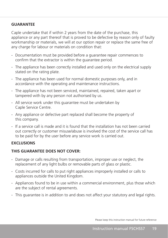#### **GUARANTEE**

Caple undertake that if within 2 years from the date of the purchase, this appliance or any part thereof that is proved to be defective by reason only of faulty workmanship or materials, we will at our option repair or replace the same free of any charge for labour or materials on condition that:

- Documentation must be provided before a guarantee repair commences to confirm that the extractor is within the guarantee period.
- The appliance has been correctly installed and used only on the electrical supply stated on the rating plate.
- The appliance has been used for normal domestic purposes only, and in accordance with the operating and maintenance instructions.
- The appliance has not been serviced, maintained, repaired, taken apart or tampered with by any person not authorised by us.
- All service work under this guarantee must be undertaken by Caple Service Centre.
- Any appliance or defective part replaced shall become the property of this company.
- If a service call is made and it is found that the installation has not been carried out correctly or customer misuse/abuse is involved the cost of the service call has to be paid for by the user before any service work is carried out.

#### **EXCLUSIONS**

#### **THIS GUARANTEE DOES NOT COVER:**

- Damage or calls resulting from transportation, improper use or neglect, the replacement of any light bulbs or removable parts of glass or plastic.
- Costs incurred for calls to put right appliances improperly installed or calls to appliances outside the United Kingdom.
- Appliances found to be in use within a commercial environment, plus those which are the subject of rental agreements.
- This guarantee is in addition to and does not affect your statutory and legal rights.